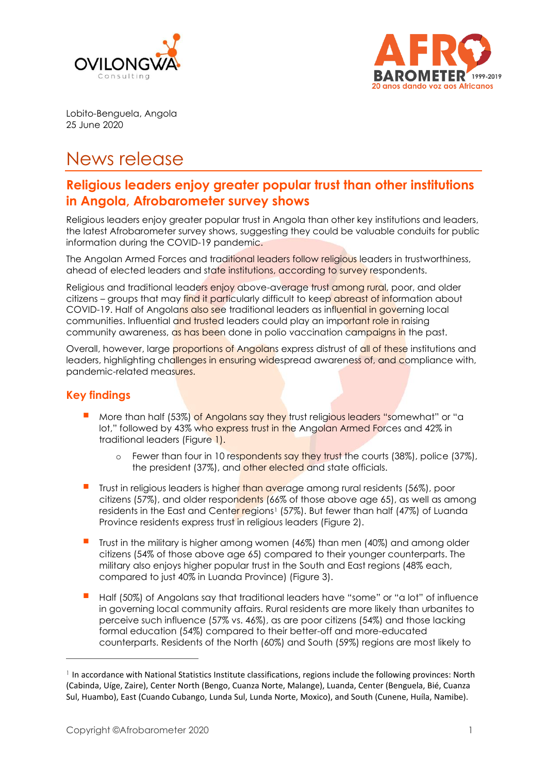



Lobito-Benguela, Angola 25 June 2020

# News release

# **Religious leaders enjoy greater popular trust than other institutions in Angola, Afrobarometer survey shows**

Religious leaders enjoy greater popular trust in Angola than other key institutions and leaders, the latest Afrobarometer survey shows, suggesting they could be valuable conduits for public information during the COVID-19 pandemic.

The Angolan Armed Forces and traditional leaders follow religious leaders in trustworthiness, ahead of elected leaders and state institutions, according to survey respondents.

Religious and traditional leaders enjoy above-average trust among rural, poor, and older citizens – groups that may find it particularly difficult to keep abreast of information about COVID-19. Half of Angolans also see traditional leaders as influential in governing local communities. Influential and trusted leaders could play an important role in raising community awareness, as has been done in polio vaccination campaigns in the past.

Overall, however, large proportions of Angolans express distrust of all of these institutions and leaders, highlighting challenges in ensuring widespread awareness of, and compliance with, pandemic-related measures.

# **Key findings**

- More than half (53%) of Angolans say they trust religious leaders "somewhat" or "a lot," followed by 43% who express trust in the Angolan Armed Forces and 42% in traditional leaders (Figure 1).
	- $\circ$  Fewer than four in 10 respondents say they trust the courts (38%), police (37%), the president (37%), and other elected and state officials.
- Trust in religious leaders is higher than average among rural residents (56%), poor citizens (57%), and older respondents (66% of those above age 65), as well as among residents in the East and Center regions<sup>1</sup> (57%). But fewer than half (47%) of Luanda Province residents express trust in religious leaders (Figure 2).
- Trust in the military is higher among women (46%) than men (40%) and among older citizens (54% of those above age 65) compared to their younger counterparts. The military also enjoys higher popular trust in the South and East regions (48% each, compared to just 40% in Luanda Province) (Figure 3).
- Half (50%) of Angolans say that traditional leaders have "some" or "a lot" of influence in governing local community affairs. Rural residents are more likely than urbanites to perceive such influence (57% vs. 46%), as are poor citizens (54%) and those lacking formal education (54%) compared to their better-off and more-educated counterparts. Residents of the North (60%) and South (59%) regions are most likely to

<sup>&</sup>lt;sup>1</sup> In accordance with National Statistics Institute classifications, regions include the following provinces: North (Cabinda, Uíge, Zaire), Center North (Bengo, Cuanza Norte, Malange), Luanda, Center (Benguela, Bié, Cuanza Sul, Huambo), East (Cuando Cubango, Lunda Sul, Lunda Norte, Moxico), and South (Cunene, Huíla, Namibe).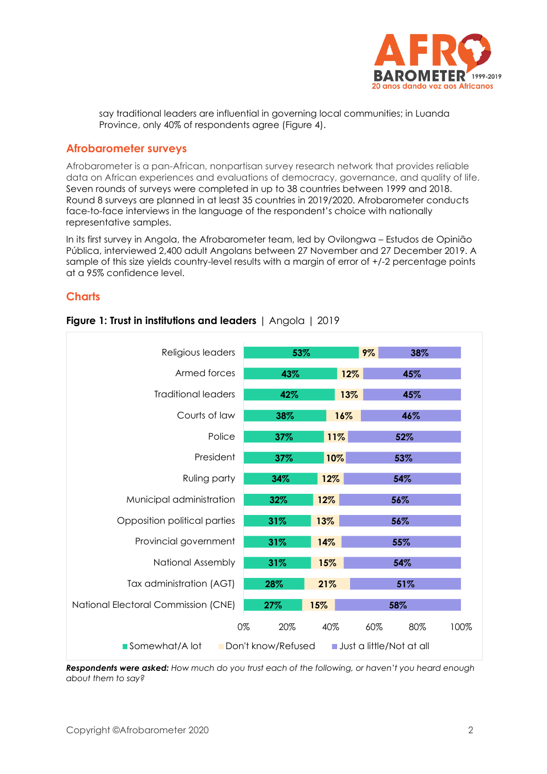

say traditional leaders are influential in governing local communities; in Luanda Province, only 40% of respondents agree (Figure 4).

#### **Afrobarometer surveys**

Afrobarometer is a pan-African, nonpartisan survey research network that provides reliable data on African experiences and evaluations of democracy, governance, and quality of life. Seven rounds of surveys were completed in up to 38 countries between 1999 and 2018. Round 8 surveys are planned in at least 35 countries in 2019/2020. Afrobarometer conducts face-to-face interviews in the language of the respondent's choice with nationally representative samples.

In its first survey in Angola, the Afrobarometer team, led by Ovilongwa – Estudos de Opinião Pública, interviewed 2,400 adult Angolans between 27 November and 27 December 2019. A sample of this size yields country-level results with a margin of error of +/-2 percentage points at a 95% confidence level.

#### **Charts**

| Religious leaders                                                | 53%       |     | 9%<br>38%  |      |
|------------------------------------------------------------------|-----------|-----|------------|------|
| Armed forces                                                     | 43%       | 12% | 45%        |      |
| <b>Traditional leaders</b>                                       | 42%       | 13% | 45%        |      |
| Courts of law                                                    | 38%       | 16% | 46%        |      |
| Police                                                           | 37%       | 11% | 52%        |      |
| President                                                        | 37%       | 10% | 53%        |      |
| Ruling party                                                     | 34%       | 12% | 54%        |      |
| Municipal administration                                         | 32%       | 12% | 56%        |      |
| Opposition political parties                                     | 31%       | 13% | 56%        |      |
| Provincial government                                            | 31%       | 14% | 55%        |      |
| <b>National Assembly</b>                                         | 31%       | 15% | 54%        |      |
| Tax administration (AGT)                                         | 28%       | 21% | 51%        |      |
| National Electoral Commission (CNE)                              | 27%       | 15% | 58%        |      |
|                                                                  | 0%<br>20% | 40% | 60%<br>80% | 100% |
| Somewhat/A lot<br>Don't know/Refused<br>Just a little/Not at all |           |     |            |      |

**Figure 1: Trust in institutions and leaders** | Angola | 2019

*Respondents were asked: How much do you trust each of the following, or haven't you heard enough about them to say?*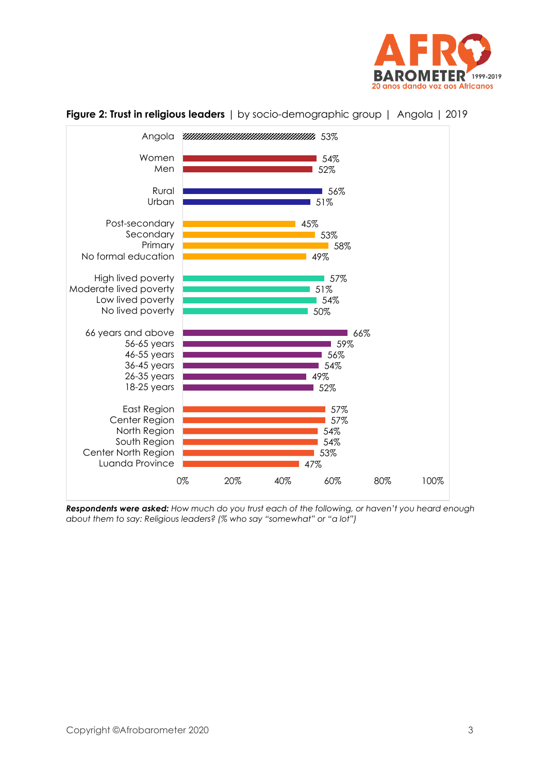



**Figure 2: Trust in religious leaders** | by socio-demographic group | Angola | 2019

*Respondents were asked: How much do you trust each of the following, or haven't you heard enough about them to say: Religious leaders? (% who say "somewhat" or "a lot")*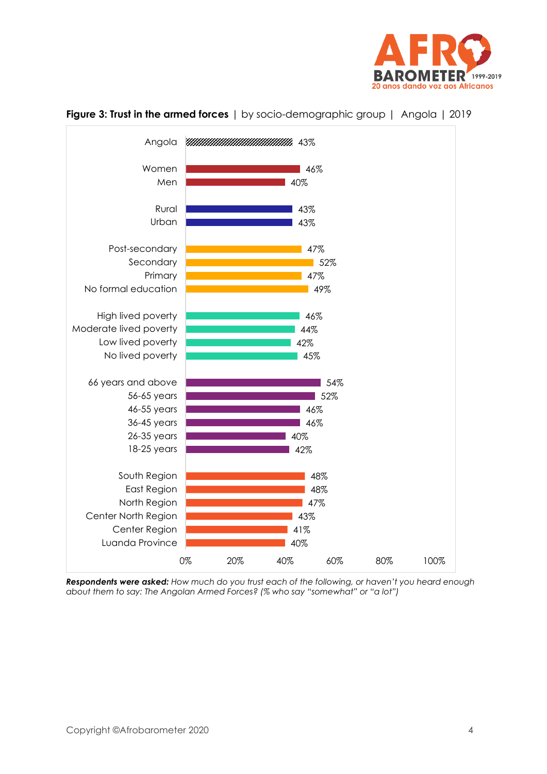



### **Figure 3: Trust in the armed forces** | by socio-demographic group | Angola | 2019

*Respondents were asked: How much do you trust each of the following, or haven't you heard enough about them to say: The Angolan Armed Forces? (% who say "somewhat" or "a lot")*